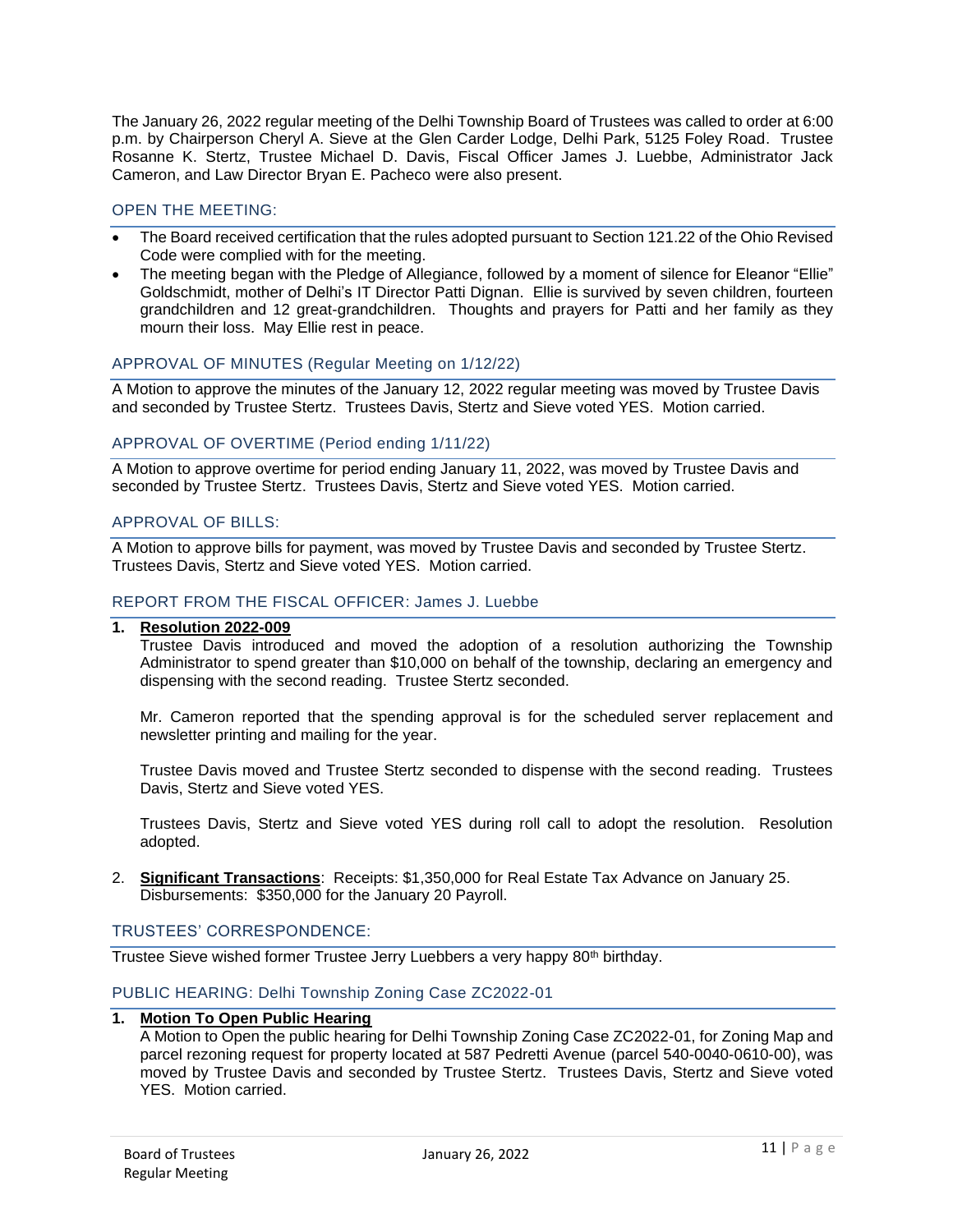The January 26, 2022 regular meeting of the Delhi Township Board of Trustees was called to order at 6:00 p.m. by Chairperson Cheryl A. Sieve at the Glen Carder Lodge, Delhi Park, 5125 Foley Road. Trustee Rosanne K. Stertz, Trustee Michael D. Davis, Fiscal Officer James J. Luebbe, Administrator Jack Cameron, and Law Director Bryan E. Pacheco were also present.

## OPEN THE MEETING:

- The Board received certification that the rules adopted pursuant to Section 121.22 of the Ohio Revised Code were complied with for the meeting.
- The meeting began with the Pledge of Allegiance, followed by a moment of silence for Eleanor "Ellie" Goldschmidt, mother of Delhi's IT Director Patti Dignan. Ellie is survived by seven children, fourteen grandchildren and 12 great-grandchildren. Thoughts and prayers for Patti and her family as they mourn their loss. May Ellie rest in peace.

### APPROVAL OF MINUTES (Regular Meeting on 1/12/22)

A Motion to approve the minutes of the January 12, 2022 regular meeting was moved by Trustee Davis and seconded by Trustee Stertz. Trustees Davis, Stertz and Sieve voted YES. Motion carried.

### APPROVAL OF OVERTIME (Period ending 1/11/22)

A Motion to approve overtime for period ending January 11, 2022, was moved by Trustee Davis and seconded by Trustee Stertz. Trustees Davis, Stertz and Sieve voted YES. Motion carried.

### APPROVAL OF BILLS:

A Motion to approve bills for payment, was moved by Trustee Davis and seconded by Trustee Stertz. Trustees Davis, Stertz and Sieve voted YES. Motion carried.

### REPORT FROM THE FISCAL OFFICER: James J. Luebbe

# **1. Resolution 2022-009**

Trustee Davis introduced and moved the adoption of a resolution authorizing the Township Administrator to spend greater than \$10,000 on behalf of the township, declaring an emergency and dispensing with the second reading. Trustee Stertz seconded.

Mr. Cameron reported that the spending approval is for the scheduled server replacement and newsletter printing and mailing for the year.

Trustee Davis moved and Trustee Stertz seconded to dispense with the second reading. Trustees Davis, Stertz and Sieve voted YES.

Trustees Davis, Stertz and Sieve voted YES during roll call to adopt the resolution. Resolution adopted.

2. **Significant Transactions**: Receipts: \$1,350,000 for Real Estate Tax Advance on January 25. Disbursements: \$350,000 for the January 20 Payroll.

### TRUSTEES' CORRESPONDENCE:

Trustee Sieve wished former Trustee Jerry Luebbers a very happy 80<sup>th</sup> birthday.

### PUBLIC HEARING: Delhi Township Zoning Case ZC2022-01

### **1. Motion To Open Public Hearing**

A Motion to Open the public hearing for Delhi Township Zoning Case ZC2022-01, for Zoning Map and parcel rezoning request for property located at 587 Pedretti Avenue (parcel 540-0040-0610-00), was moved by Trustee Davis and seconded by Trustee Stertz. Trustees Davis, Stertz and Sieve voted YES. Motion carried.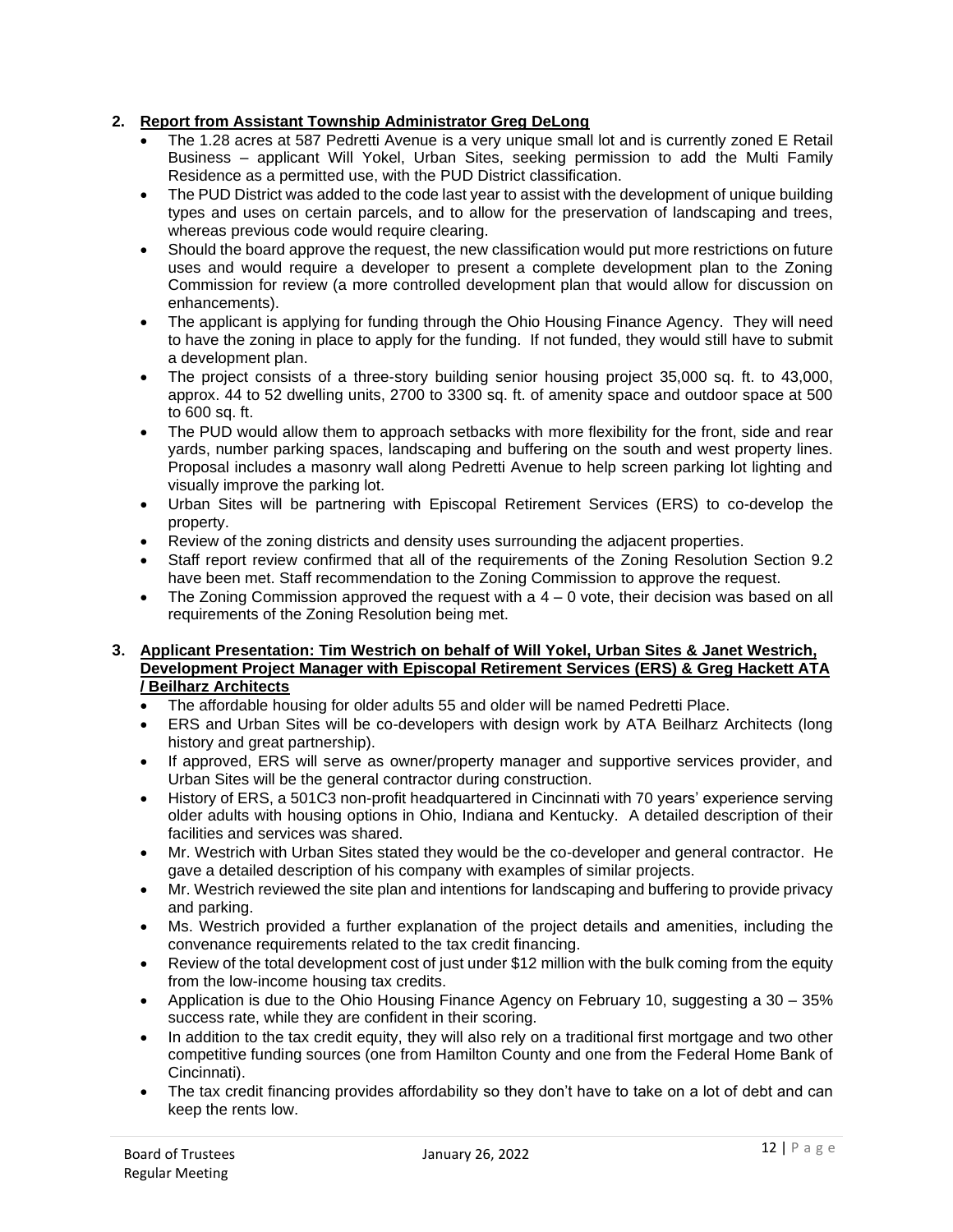# **2. Report from Assistant Township Administrator Greg DeLong**

- The 1.28 acres at 587 Pedretti Avenue is a very unique small lot and is currently zoned E Retail Business – applicant Will Yokel, Urban Sites, seeking permission to add the Multi Family Residence as a permitted use, with the PUD District classification.
- The PUD District was added to the code last year to assist with the development of unique building types and uses on certain parcels, and to allow for the preservation of landscaping and trees, whereas previous code would require clearing.
- Should the board approve the request, the new classification would put more restrictions on future uses and would require a developer to present a complete development plan to the Zoning Commission for review (a more controlled development plan that would allow for discussion on enhancements).
- The applicant is applying for funding through the Ohio Housing Finance Agency. They will need to have the zoning in place to apply for the funding. If not funded, they would still have to submit a development plan.
- The project consists of a three-story building senior housing project 35,000 sq. ft. to 43,000, approx. 44 to 52 dwelling units, 2700 to 3300 sq. ft. of amenity space and outdoor space at 500 to 600 sq. ft.
- The PUD would allow them to approach setbacks with more flexibility for the front, side and rear yards, number parking spaces, landscaping and buffering on the south and west property lines. Proposal includes a masonry wall along Pedretti Avenue to help screen parking lot lighting and visually improve the parking lot.
- Urban Sites will be partnering with Episcopal Retirement Services (ERS) to co-develop the property.
- Review of the zoning districts and density uses surrounding the adjacent properties.
- Staff report review confirmed that all of the requirements of the Zoning Resolution Section 9.2 have been met. Staff recommendation to the Zoning Commission to approve the request.
- The Zoning Commission approved the request with a  $4 0$  vote, their decision was based on all requirements of the Zoning Resolution being met.
- **3. Applicant Presentation: Tim Westrich on behalf of Will Yokel, Urban Sites & Janet Westrich, Development Project Manager with Episcopal Retirement Services (ERS) & Greg Hackett ATA / Beilharz Architect[s](https://www.linkedin.com/in/greg-hackett-ra-leed-ap-7939616)**
	- The affordable housing for older adults 55 and older will be named Pedretti Place.
	- ERS and Urban Sites will be co-developers with design work by ATA Beilharz Architects (long history and great partnership).
	- If approved, ERS will serve as owner/property manager and supportive services provider, and Urban Sites will be the general contractor during construction.
	- History of ERS, a 501C3 non-profit headquartered in Cincinnati with 70 years' experience serving older adults with housing options in Ohio, Indiana and Kentucky. A detailed description of their facilities and services was shared.
	- Mr. Westrich with Urban Sites stated they would be the co-developer and general contractor. He gave a detailed description of his company with examples of similar projects.
	- Mr. Westrich reviewed the site plan and intentions for landscaping and buffering to provide privacy and parking.
	- Ms. Westrich provided a further explanation of the project details and amenities, including the convenance requirements related to the tax credit financing.
	- Review of the total development cost of just under \$12 million with the bulk coming from the equity from the low-income housing tax credits.
	- Application is due to the Ohio Housing Finance Agency on February 10, suggesting a 30 35% success rate, while they are confident in their scoring.
	- In addition to the tax credit equity, they will also rely on a traditional first mortgage and two other competitive funding sources (one from Hamilton County and one from the Federal Home Bank of Cincinnati).
	- The tax credit financing provides affordability so they don't have to take on a lot of debt and can keep the rents low.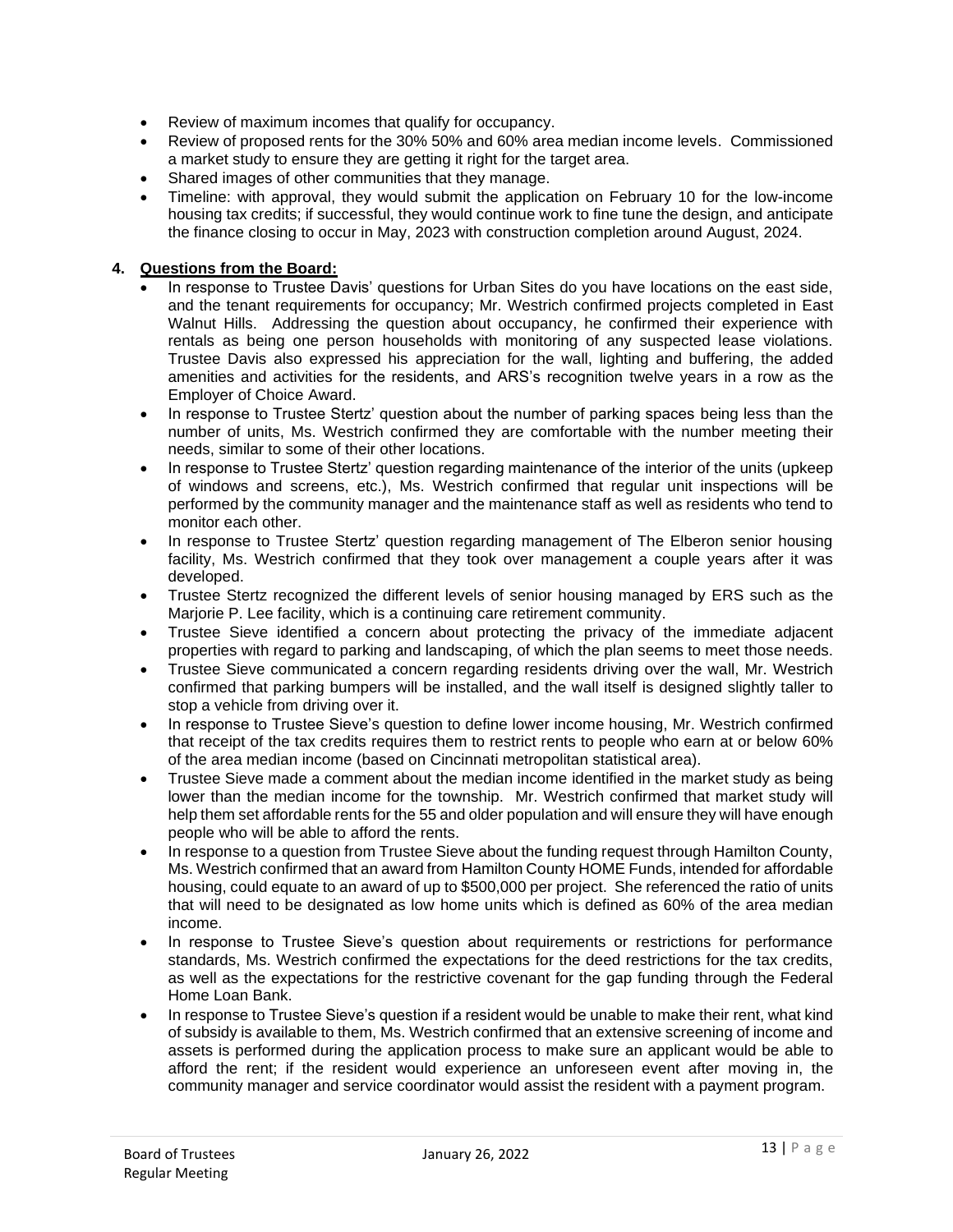- Review of maximum incomes that qualify for occupancy.
- Review of proposed rents for the 30% 50% and 60% area median income levels. Commissioned a market study to ensure they are getting it right for the target area.
- Shared images of other communities that they manage.
- Timeline: with approval, they would submit the application on February 10 for the low-income housing tax credits; if successful, they would continue work to fine tune the design, and anticipate the finance closing to occur in May, 2023 with construction completion around August, 2024.

# **4. Questions from the Board:**

- In response to Trustee Davis' questions for Urban Sites do you have locations on the east side, and the tenant requirements for occupancy; Mr. Westrich confirmed projects completed in East Walnut Hills. Addressing the question about occupancy, he confirmed their experience with rentals as being one person households with monitoring of any suspected lease violations. Trustee Davis also expressed his appreciation for the wall, lighting and buffering, the added amenities and activities for the residents, and ARS's recognition twelve years in a row as the Employer of Choice Award.
- In response to Trustee Stertz' question about the number of parking spaces being less than the number of units, Ms. Westrich confirmed they are comfortable with the number meeting their needs, similar to some of their other locations.
- In response to Trustee Stertz' question regarding maintenance of the interior of the units (upkeep of windows and screens, etc.), Ms. Westrich confirmed that regular unit inspections will be performed by the community manager and the maintenance staff as well as residents who tend to monitor each other.
- In response to Trustee Stertz' question regarding management of The Elberon senior housing facility, Ms. Westrich confirmed that they took over management a couple years after it was developed.
- Trustee Stertz recognized the different levels of senior housing managed by ERS such as the Marjorie P. Lee facility, which is a continuing care retirement community.
- Trustee Sieve identified a concern about protecting the privacy of the immediate adjacent properties with regard to parking and landscaping, of which the plan seems to meet those needs.
- Trustee Sieve communicated a concern regarding residents driving over the wall, Mr. Westrich confirmed that parking bumpers will be installed, and the wall itself is designed slightly taller to stop a vehicle from driving over it.
- In response to Trustee Sieve's question to define lower income housing, Mr. Westrich confirmed that receipt of the tax credits requires them to restrict rents to people who earn at or below 60% of the area median income (based on Cincinnati metropolitan statistical area).
- Trustee Sieve made a comment about the median income identified in the market study as being lower than the median income for the township. Mr. Westrich confirmed that market study will help them set affordable rents for the 55 and older population and will ensure they will have enough people who will be able to afford the rents.
- In response to a question from Trustee Sieve about the funding request through Hamilton County, Ms. Westrich confirmed that an award from Hamilton County HOME Funds, intended for affordable housing, could equate to an award of up to \$500,000 per project. She referenced the ratio of units that will need to be designated as low home units which is defined as 60% of the area median income.
- In response to Trustee Sieve's question about requirements or restrictions for performance standards, Ms. Westrich confirmed the expectations for the deed restrictions for the tax credits, as well as the expectations for the restrictive covenant for the gap funding through the Federal Home Loan Bank.
- In response to Trustee Sieve's question if a resident would be unable to make their rent, what kind of subsidy is available to them, Ms. Westrich confirmed that an extensive screening of income and assets is performed during the application process to make sure an applicant would be able to afford the rent; if the resident would experience an unforeseen event after moving in, the community manager and service coordinator would assist the resident with a payment program.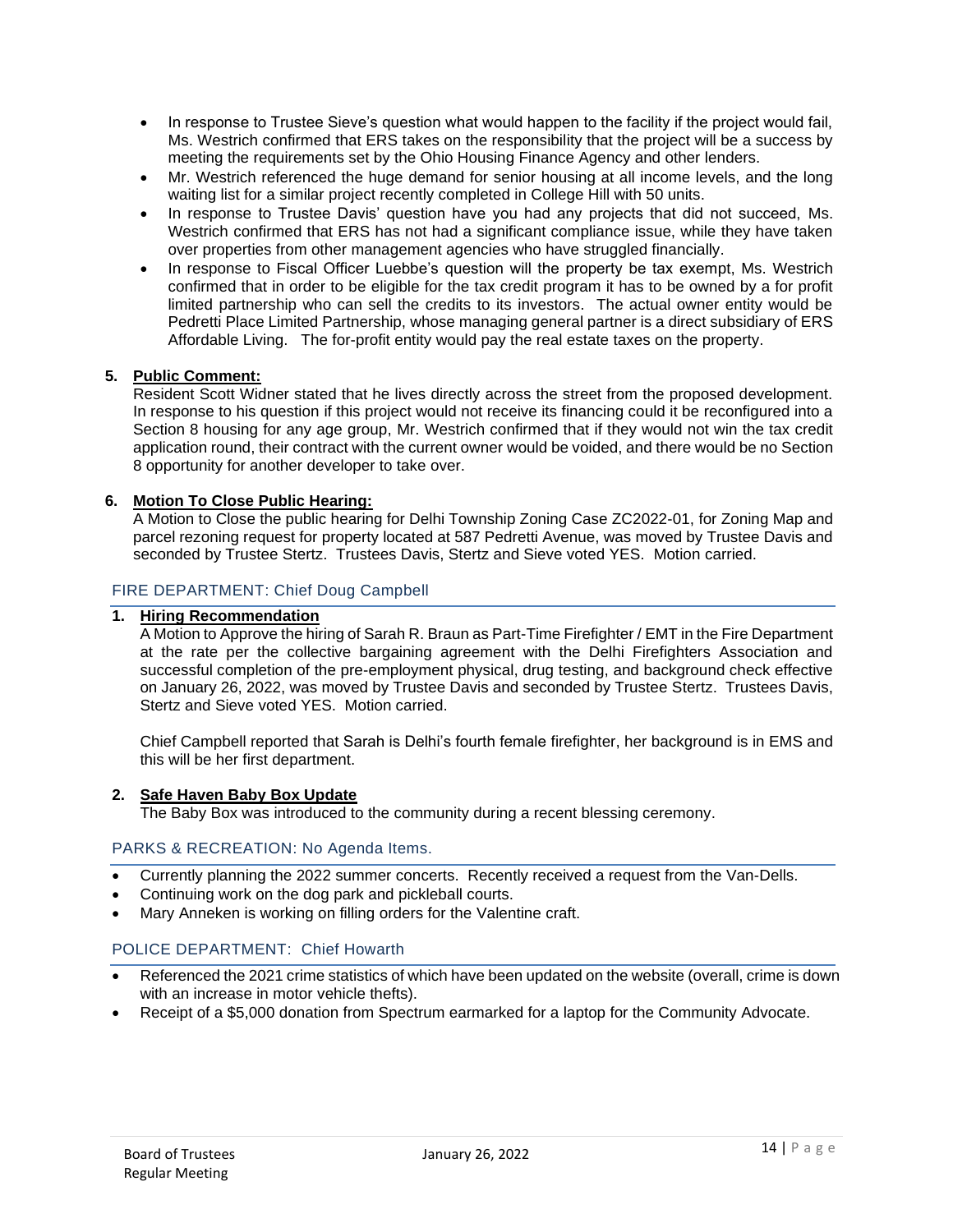- In response to Trustee Sieve's question what would happen to the facility if the project would fail, Ms. Westrich confirmed that ERS takes on the responsibility that the project will be a success by meeting the requirements set by the Ohio Housing Finance Agency and other lenders.
- Mr. Westrich referenced the huge demand for senior housing at all income levels, and the long waiting list for a similar project recently completed in College Hill with 50 units.
- In response to Trustee Davis' question have you had any projects that did not succeed, Ms. Westrich confirmed that ERS has not had a significant compliance issue, while they have taken over properties from other management agencies who have struggled financially.
- In response to Fiscal Officer Luebbe's question will the property be tax exempt, Ms. Westrich confirmed that in order to be eligible for the tax credit program it has to be owned by a for profit limited partnership who can sell the credits to its investors. The actual owner entity would be Pedretti Place Limited Partnership, whose managing general partner is a direct subsidiary of ERS Affordable Living. The for-profit entity would pay the real estate taxes on the property.

## **5. Public Comment:**

Resident Scott Widner stated that he lives directly across the street from the proposed development. In response to his question if this project would not receive its financing could it be reconfigured into a Section 8 housing for any age group, Mr. Westrich confirmed that if they would not win the tax credit application round, their contract with the current owner would be voided, and there would be no Section 8 opportunity for another developer to take over.

## **6. Motion To Close Public Hearing:**

A Motion to Close the public hearing for Delhi Township Zoning Case ZC2022-01, for Zoning Map and parcel rezoning request for property located at 587 Pedretti Avenue, was moved by Trustee Davis and seconded by Trustee Stertz. Trustees Davis, Stertz and Sieve voted YES. Motion carried.

## FIRE DEPARTMENT: Chief Doug Campbell

## **1. Hiring Recommendation**

A Motion to Approve the hiring of Sarah R. Braun as Part-Time Firefighter / EMT in the Fire Department at the rate per the collective bargaining agreement with the Delhi Firefighters Association and successful completion of the pre-employment physical, drug testing, and background check effective on January 26, 2022, was moved by Trustee Davis and seconded by Trustee Stertz. Trustees Davis, Stertz and Sieve voted YES. Motion carried.

Chief Campbell reported that Sarah is Delhi's fourth female firefighter, her background is in EMS and this will be her first department.

## **2. Safe Haven Baby Box Update**

The Baby Box was introduced to the community during a recent blessing ceremony.

### PARKS & RECREATION: No Agenda Items.

- Currently planning the 2022 summer concerts. Recently received a request from the Van-Dells.
- Continuing work on the dog park and pickleball courts.
- Mary Anneken is working on filling orders for the Valentine craft.

# POLICE DEPARTMENT: Chief Howarth

- Referenced the 2021 crime statistics of which have been updated on the website (overall, crime is down with an increase in motor vehicle thefts).
- Receipt of a \$5,000 donation from Spectrum earmarked for a laptop for the Community Advocate.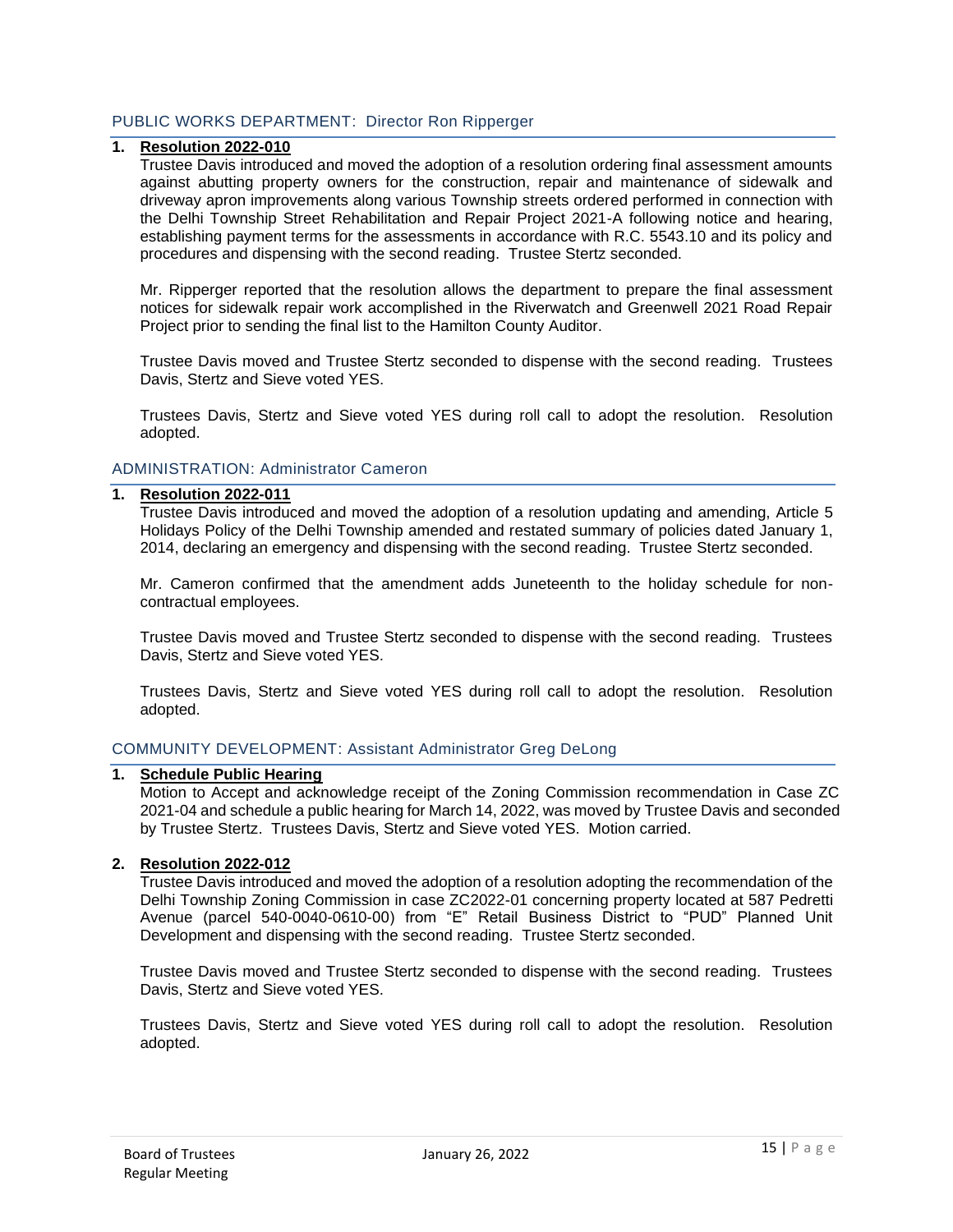# PUBLIC WORKS DEPARTMENT: Director Ron Ripperger

## **1. Resolution 2022-010**

Trustee Davis introduced and moved the adoption of a resolution ordering final assessment amounts against abutting property owners for the construction, repair and maintenance of sidewalk and driveway apron improvements along various Township streets ordered performed in connection with the Delhi Township Street Rehabilitation and Repair Project 2021-A following notice and hearing, establishing payment terms for the assessments in accordance with R.C. 5543.10 and its policy and procedures and dispensing with the second reading. Trustee Stertz seconded.

Mr. Ripperger reported that the resolution allows the department to prepare the final assessment notices for sidewalk repair work accomplished in the Riverwatch and Greenwell 2021 Road Repair Project prior to sending the final list to the Hamilton County Auditor.

Trustee Davis moved and Trustee Stertz seconded to dispense with the second reading. Trustees Davis, Stertz and Sieve voted YES.

Trustees Davis, Stertz and Sieve voted YES during roll call to adopt the resolution. Resolution adopted.

### ADMINISTRATION: Administrator Cameron

#### **1. Resolution 2022-011**

Trustee Davis introduced and moved the adoption of a resolution updating and amending, Article 5 Holidays Policy of the Delhi Township amended and restated summary of policies dated January 1, 2014, declaring an emergency and dispensing with the second reading. Trustee Stertz seconded.

Mr. Cameron confirmed that the amendment adds Juneteenth to the holiday schedule for noncontractual employees.

Trustee Davis moved and Trustee Stertz seconded to dispense with the second reading. Trustees Davis, Stertz and Sieve voted YES.

Trustees Davis, Stertz and Sieve voted YES during roll call to adopt the resolution. Resolution adopted.

### COMMUNITY DEVELOPMENT: Assistant Administrator Greg DeLong

#### **1. Schedule Public Hearing**

Motion to Accept and acknowledge receipt of the Zoning Commission recommendation in Case ZC 2021-04 and schedule a public hearing for March 14, 2022, was moved by Trustee Davis and seconded by Trustee Stertz. Trustees Davis, Stertz and Sieve voted YES. Motion carried.

#### **2. Resolution 2022-012**

Trustee Davis introduced and moved the adoption of a resolution adopting the recommendation of the Delhi Township Zoning Commission in case ZC2022-01 concerning property located at 587 Pedretti Avenue (parcel 540-0040-0610-00) from "E" Retail Business District to "PUD" Planned Unit Development and dispensing with the second reading. Trustee Stertz seconded.

Trustee Davis moved and Trustee Stertz seconded to dispense with the second reading. Trustees Davis, Stertz and Sieve voted YES.

Trustees Davis, Stertz and Sieve voted YES during roll call to adopt the resolution. Resolution adopted.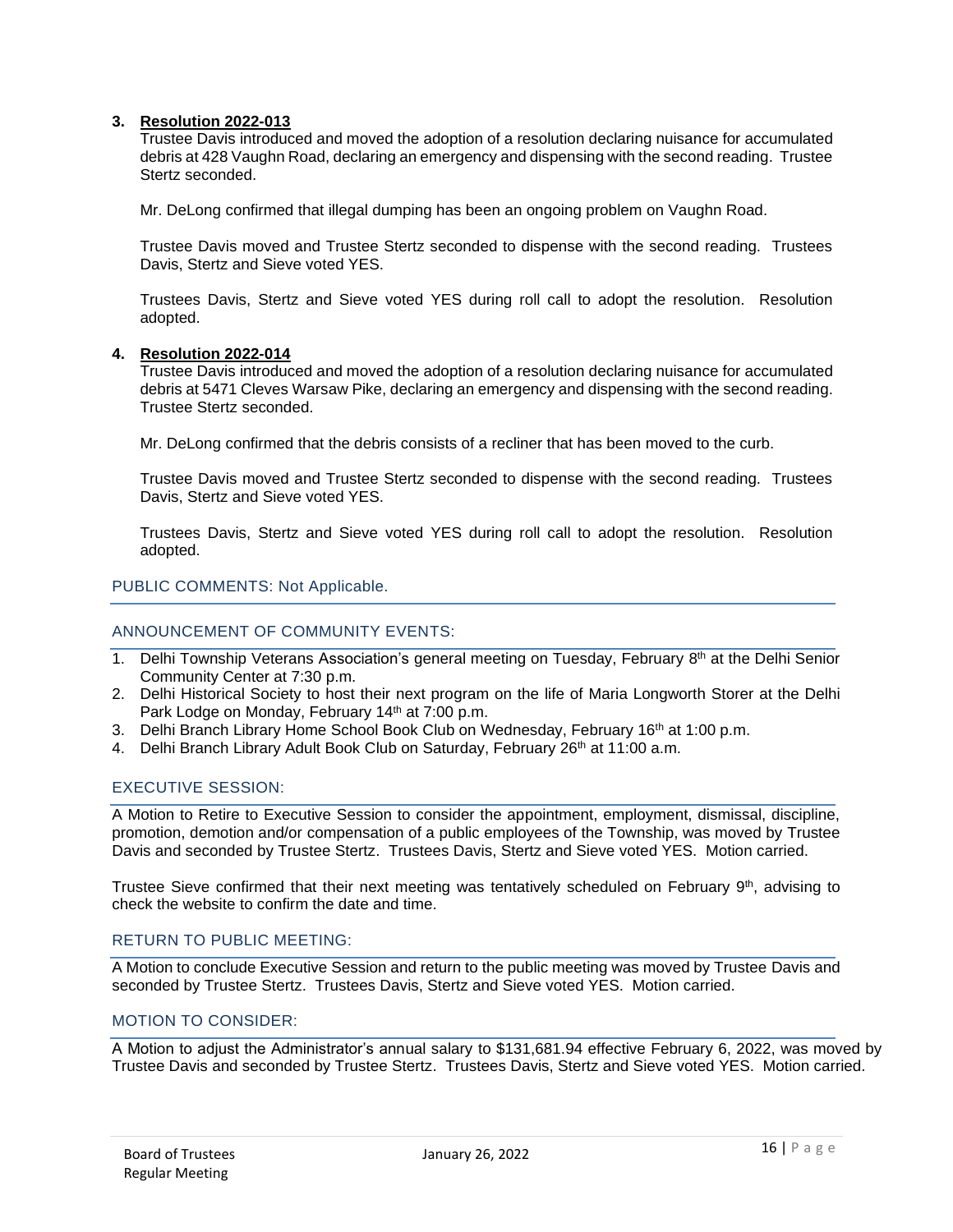### **3. Resolution 2022-013**

Trustee Davis introduced and moved the adoption of a resolution declaring nuisance for accumulated debris at 428 Vaughn Road, declaring an emergency and dispensing with the second reading. Trustee Stertz seconded.

Mr. DeLong confirmed that illegal dumping has been an ongoing problem on Vaughn Road.

Trustee Davis moved and Trustee Stertz seconded to dispense with the second reading. Trustees Davis, Stertz and Sieve voted YES.

Trustees Davis, Stertz and Sieve voted YES during roll call to adopt the resolution. Resolution adopted.

### **4. Resolution 2022-014**

Trustee Davis introduced and moved the adoption of a resolution declaring nuisance for accumulated debris at 5471 Cleves Warsaw Pike, declaring an emergency and dispensing with the second reading. Trustee Stertz seconded.

Mr. DeLong confirmed that the debris consists of a recliner that has been moved to the curb.

Trustee Davis moved and Trustee Stertz seconded to dispense with the second reading. Trustees Davis, Stertz and Sieve voted YES.

Trustees Davis, Stertz and Sieve voted YES during roll call to adopt the resolution. Resolution adopted.

### PUBLIC COMMENTS: Not Applicable.

### ANNOUNCEMENT OF COMMUNITY EVENTS:

- 1. Delhi Township Veterans Association's general meeting on Tuesday, February 8<sup>th</sup> at the Delhi Senior Community Center at 7:30 p.m.
- 2. Delhi Historical Society to host their next program on the life of Maria Longworth Storer at the Delhi Park Lodge on Monday, February 14<sup>th</sup> at 7:00 p.m.
- 3. Delhi Branch Library Home School Book Club on Wednesday, February 16<sup>th</sup> at 1:00 p.m.
- 4. Delhi Branch Library Adult Book Club on Saturday, February 26<sup>th</sup> at 11:00 a.m.

## EXECUTIVE SESSION:

A Motion to Retire to Executive Session to consider the appointment, employment, dismissal, discipline, promotion, demotion and/or compensation of a public employees of the Township, was moved by Trustee Davis and seconded by Trustee Stertz. Trustees Davis, Stertz and Sieve voted YES. Motion carried.

Trustee Sieve confirmed that their next meeting was tentatively scheduled on February 9<sup>th</sup>, advising to check the website to confirm the date and time.

## RETURN TO PUBLIC MEETING:

A Motion to conclude Executive Session and return to the public meeting was moved by Trustee Davis and seconded by Trustee Stertz. Trustees Davis, Stertz and Sieve voted YES. Motion carried.

## MOTION TO CONSIDER:

A Motion to adjust the Administrator's annual salary to \$131,681.94 effective February 6, 2022, was moved by Trustee Davis and seconded by Trustee Stertz. Trustees Davis, Stertz and Sieve voted YES. Motion carried.